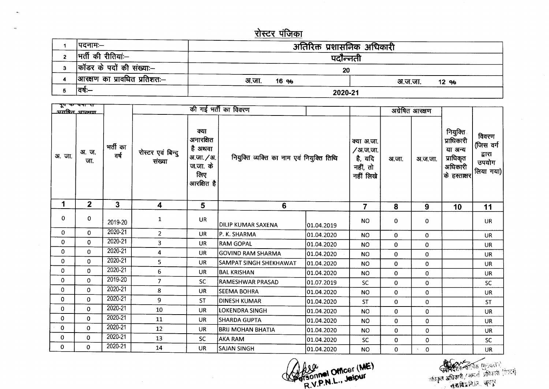## <u>रोस्टर पंजिका</u>

 $\bullet\bullet$ 

| ।पदनामः—                     | अतिरिक्त प्रशासनिक अधिकारी |                  |  |  |  |  |  |
|------------------------------|----------------------------|------------------|--|--|--|--|--|
| भर्ती की रीतियाः—            | पदोन्नती                   |                  |  |  |  |  |  |
| कॉडर के पदों की संख्या:--    | 20                         |                  |  |  |  |  |  |
| आरक्षण का प्रावधित प्रतिशतः— | अ.जा.<br>16 %              | अ.ज.जा.<br>12 ዓ/ |  |  |  |  |  |
| वर्ष:—                       | 2020-21                    |                  |  |  |  |  |  |

| पूप पर पणा रा<br><u>अग्रपित आरम्रण</u> |                |                  |                             |                                                                             | की गई भर्ती का विवरण                      |                | अग्रेषित आरक्षण                                            |          |                                                        |                                                                           |                                                    |
|----------------------------------------|----------------|------------------|-----------------------------|-----------------------------------------------------------------------------|-------------------------------------------|----------------|------------------------------------------------------------|----------|--------------------------------------------------------|---------------------------------------------------------------------------|----------------------------------------------------|
| अ.जा.                                  | अ.ज.<br>जा.    | भर्ती का<br>वर्ष | रोस्टर एवं बिन्दु<br>संख्या | क्या<br>अनारक्षित<br>है अथवा<br>अ.जा. / अ.<br>ज.जा. के<br>लिए<br>आरक्षित है | नियुक्ति व्यक्ति का नाम एवं नियुक्ति तिथि |                | क्या अ.जा.<br>/अ.ज.जा.<br>है, यदि<br>नहीं, तो<br>नहीं लिखे | अ.जा.    | अ ज.जा.                                                | नियुक्ति<br>प्राधिकारी<br>या अन्य<br>प्राधिकृत<br>अधिकारी<br>के हस्ताक्षर | विवरण<br>(जिस वर्ग<br>द्वारा<br>उपयोग<br>लिया गया) |
| 1                                      | 2 <sup>1</sup> | $\mathbf{3}$     | 4                           | 5                                                                           | $6\phantom{1}$                            | $\overline{7}$ | 8                                                          | 9        | 10                                                     | 11                                                                        |                                                    |
| 0                                      | 0              | 2019-20          | $\mathbf{1}$                | UR                                                                          | DILIP KUMAR SAXENA                        | 01.04.2019     | <b>NO</b>                                                  | 0        | 0                                                      |                                                                           | <b>UR</b>                                          |
| 0                                      | $\mathbf 0$    | $2020 - 21$      | $\overline{2}$              | <b>UR</b>                                                                   | IP. K. SHARMA                             | 01.04.2020     | <b>NO</b>                                                  | 0        | 0                                                      |                                                                           | <b>UR</b>                                          |
| 0                                      | $\mathbf 0$    | 2020-21          | 3                           | UR                                                                          | <b>RAM GOPAL</b>                          | 01.04.2020     | <b>NO</b>                                                  | 0        | 0                                                      |                                                                           | <b>UR</b>                                          |
| 0                                      | $\bf{0}$       | 2020-21          | 4                           | <b>UR</b>                                                                   | <b>GOVIND RAM SHARMA</b>                  | 01.04.2020     | <b>NO</b>                                                  | 0        | 0                                                      |                                                                           | <b>UR</b>                                          |
| 0                                      | $\mathbf 0$    | 2020-21          | 5                           | <b>UR</b>                                                                   | SAMPAT SINGH SHEKHAWAT                    | 01.04.2020     | <b>NO</b>                                                  | 0        | 0                                                      |                                                                           | UR                                                 |
| 0                                      | $\mathbf 0$    | $2020 - 21$      | 6                           | <b>UR</b>                                                                   | BAL KRISHAN                               | 01.04.2020     | <b>NO</b>                                                  | 0        | 0                                                      |                                                                           | UR                                                 |
| $\mathbf 0$                            | $\mathbf 0$    | 2019-20          | $\overline{7}$              | <b>SC</b>                                                                   | RAMESHWAR PRASAD                          | 01.07.2019     | <b>SC</b>                                                  | $\Omega$ | 0                                                      |                                                                           | SC                                                 |
| $\mathbf 0$                            | 0              | 2020-21          | 8                           | <b>UR</b>                                                                   | <b>SEEMA BOHRA</b>                        | 01.04.2020     | NO.                                                        | 0        | $\mathbf{0}$                                           |                                                                           | <b>UR</b>                                          |
| 0                                      | $\Omega$       | 2020-21          | 9                           | <b>ST</b>                                                                   | <b>DINESH KUMAR</b>                       | 01.04.2020     | <b>ST</b>                                                  | 0        | 0                                                      |                                                                           | <b>ST</b>                                          |
| 0                                      | $\mathbf 0$    | 2020-21          | 10                          | <b>UR</b>                                                                   | <b>LOKENDRA SINGH</b>                     | 01.04.2020     | <b>NO</b>                                                  | 0        | 0                                                      |                                                                           | <b>UR</b>                                          |
| 0                                      | $\mathbf 0$    | 2020-21          | 11                          | <b>UR</b>                                                                   | <b>SHARDA GUPTA</b>                       | 01.04.2020     | <b>NO</b>                                                  | 0        | 0                                                      |                                                                           | <b>UR</b>                                          |
| 0                                      | $\mathbf 0$    | 2020-21          | 12                          | <b>UR</b>                                                                   | <b>BRIJ MOHAN BHATIA</b>                  | 01.04.2020     | <b>NO</b>                                                  | 0        | 0                                                      |                                                                           | <b>UR</b>                                          |
| 0                                      | 0              | 2020-21          | 13                          | <b>SC</b>                                                                   | <b>AKA RAM</b>                            | 01.04.2020     | SC.                                                        | 0        | 0                                                      |                                                                           | <b>SC</b>                                          |
| 0                                      | 0              | $2020 - 21$      | 14                          | <b>UR</b>                                                                   | <b>SAJAN SINGH</b>                        | 01.04.2020     | <b>NO</b>                                                  | 0        | $\overline{\mathbf{0}}$<br>$\mathcal{N}_{\mathcal{S}}$ |                                                                           | <b>UR</b>                                          |

 $\sim 10^{-1}$ 

 $\sim 10^{-1}$ 

Offsonnel Officer (ME)

स्त्री स्थित कार्यक्रम (मुद्धात ।)<br>अधिकृत अधिकारी / सम्पर्क अधिकारी (रोस्टर)<br>संबद्धविद्यानि सिंह ज्युन्नुर